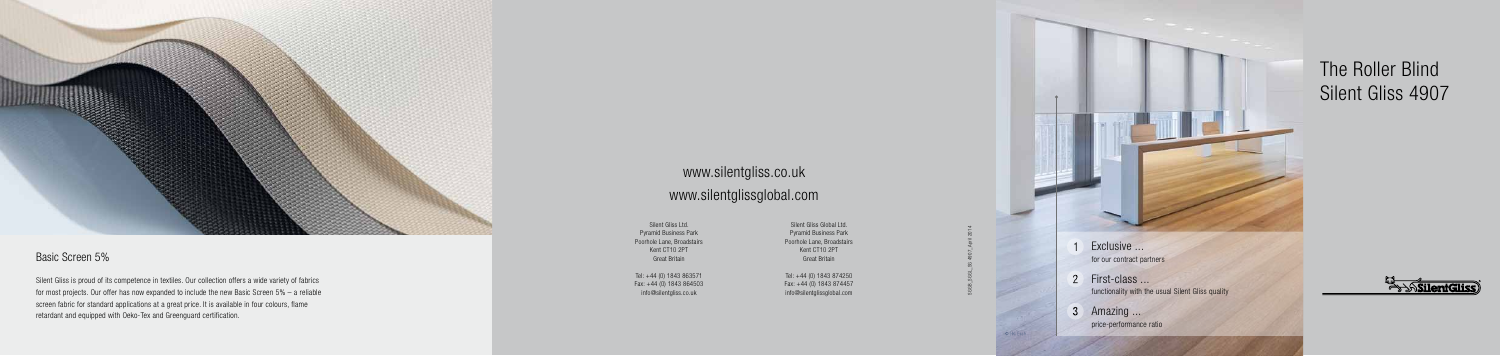- Exclusive ... for our contract partners
- 2 First-class ... functionality with the usual Silent Gliss quality
- 3 Amazing ... price-performance ratio

# The Roller Blind Silent Gliss 4907





### Basic Screen 5%

Silent Gliss is proud of its competence in textiles. Our collection offers a wide variety of fabrics for most projects. Our offer has now expanded to include the new Basic Screen 5% – a reliable screen fabric for standard applications at a great price. It is available in four colours, flame retardant and equipped with Oeko-Tex and Greenguard certification.

## www.silentgliss.co.uk www.silentglissglobal.com

SGGB\_SGGL\_SG 4907\_April 2014



Silent Gliss Ltd. Pyramid Business Park Poorhole Lane, Broadstairs Kent CT10 2PT Great Britain

Tel: +44 (0) 1843 863571 Fax: +44 (0) 1843 864503 info@silentgliss.co.uk

Silent Gliss Global Ltd. Pyramid Business Park Poorhole Lane, Broadstairs Kent CT10 2PT Great Britain

Tel: +44 (0) 1843 874250 Fax: +44 (0) 1843 874457 info@silentglissglobal.com